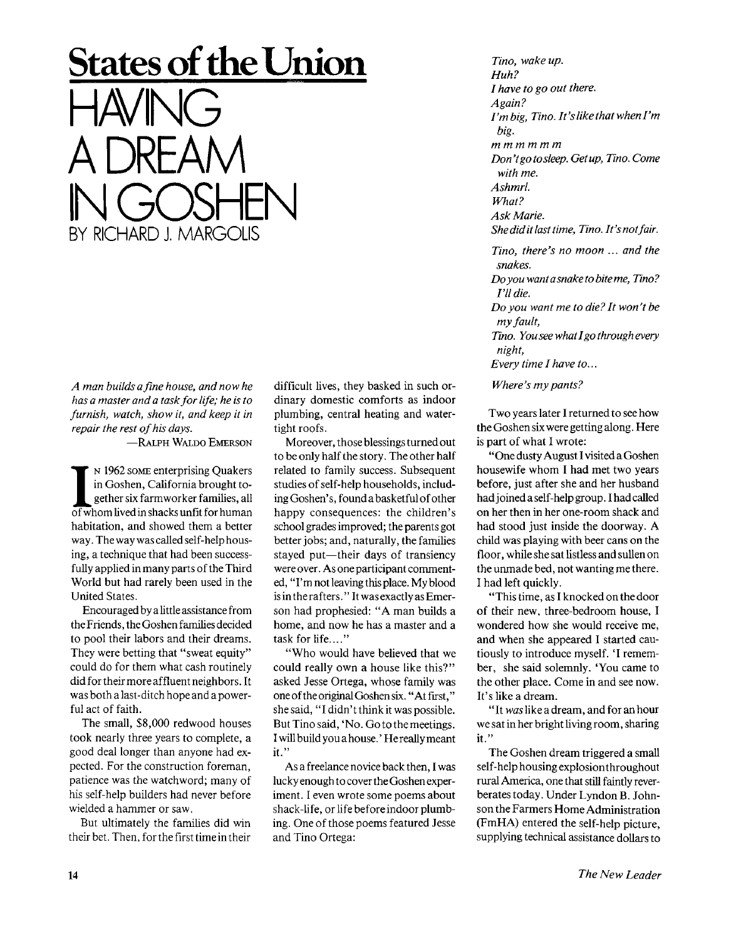## **States of the Union**  HAVING A DREAM NGOSHEN<br>NGC 11186916 **BY RICHARD J. MARGOLIS**

*A man builds a fine house, and now he has a master and a task for life; he is to furnish, watch, show it, and keep it in repair the rest of his days.* 

-RALPH WALDO EMERSON

I<sup>I</sup> N 1962 SOME enterprising Quakers<br>in Goshen, California brought to-<br>gether six farmworker families, all<br>of whom lived in shacks unfit for human <sup>N</sup> 1962 SOME enterprising Quakers in Goshen, California brought together six farmworker families, all habitation, and showed them a better way. The way was called self-help housing, a technique that had been successfully applied in many parts of the Third World but had rarely been used in the United States.

Encouraged by a little assistance from the Friends, the Goshen families decided to pool their labors and their dreams. They were betting that "sweat equity" could do for them what cash routinely did for their more affluent neighbors. It was both a last-ditch hope and a powerful act of faith.

The small, \$8,000 redwood houses took nearly three years to complete, a good deal longer than anyone had expected. For the construction foreman, patience was the watchword; many of his self-help builders had never before wielded a hammer or saw.

But ultimately the families did win their bet. Then, for the first time in their

difficult lives, they basked in such ordinary domestic comforts as indoor plumbing, central heating and watertight roofs.

Moreover, those blessings turned out to be only half the story. The other half related to family success. Subsequent studies of self-help households, including Goshen's, found a basketful of other happy consequences: the children's school grades improved; the parents got better jobs; and, naturally, the families stayed put—their days of transiency were over. As one participant commented, "I'm not leaving this place. My blood is in the rafters. "It was exactly as Emerson had prophesied: "A man builds a home, and now he has a master and a task for life...."

"Who would have believed that we could really own a house like this?" asked Jesse Ortega, whose family was one ofthe original Goshen six. "Atfirst," she said, "I didn't think it was possible. But Tino said, 'No. Go to the meetings. I will build youahouse.' Hereallymeant it."

As a freelance novice back then, I was lucky enough to cover the Goshen experiment. I even wrote some poems about shack-life, or life before indoor plumbing. One of those poems featured Jesse and Tino Ortega:

*Tino, wake up. Huh? I have to go out there. Again? I'mbig, Tino. It'slikethatwhenl'm big. mmmmmm Don't go to sleep. Getup, Tino. Come with me. Ashmrl. What? Ask Marie. She did it last time, Tino. It'snotfair. Tino, there's no moon ... and the* 

*snakes. Doyou want a snake to bite me, Tino? I'll die.* 

*Do you want me to die? It won't be my fault,* 

*Tino. You see what I go through every night,* 

*Every time I have to...* 

*Where's my pants?* 

Two years later I returned to see how the Goshen six were getting along. Here is part of what I wrote:

"One dusty August I visited a Goshen housewife whom I had met two years before, just after she and her husband had joined a self-help group. I had called on her then in her one-room shack and had stood just inside the doorway. A child was playing with beer cans on the floor, while she sat listless and sullen on the unmade bed, not wanting me there. I had left quickly.

"This time, as I knocked on the door of their new, three-bedroom house, I wondered how she would receive me, and when she appeared I started cautiously to introduce myself. 'I remember, she said solemnly. 'You came to the other place. Come in and see now. It's like a dream.

" It *was* like a dream, and for an hour we sat in her bright living room, sharing it."

The Goshen dream triggered a small self-help housing explosion throughout rural America, one that still faintly reverberates today. Under Lyndon B. Johnson the Farmers Home Administration (FmHA) entered the self-help picture, supplying technical assistance dollars to